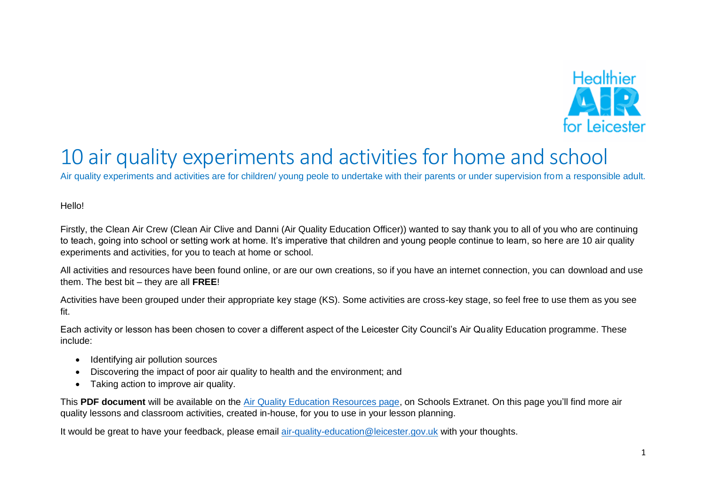

# 10 air quality experiments and activities for home and school

Air quality experiments and activities are for children/ young peole to undertake with their parents or under supervision from a responsible adult.

Hello!

Firstly, the Clean Air Crew (Clean Air Clive and Danni (Air Quality Education Officer)) wanted to say thank you to all of you who are continuing to teach, going into school or setting work at home. It's imperative that children and young people continue to learn, so here are 10 air quality experiments and activities, for you to teach at home or school.

All activities and resources have been found online, or are our own creations, so if you have an internet connection, you can download and use them. The best bit – they are all **FREE**!

Activities have been grouped under their appropriate key stage (KS). Some activities are cross-key stage, so feel free to use them as you see fit.

Each activity or lesson has been chosen to cover a different aspect of the Leicester City Council's Air Quality Education programme. These include:

- Identifying air pollution sources
- Discovering the impact of poor air quality to health and the environment; and
- Taking action to improve air quality.

This **PDF document** will be available on the [Air Quality Education Resources page,](https://schools.leicester.gov.uk/services/environment-health-and-well-being/air-quality-education/air-quality-education-resources/) on Schools Extranet. On this page you'll find more air quality lessons and classroom activities, created in-house, for you to use in your lesson planning.

It would be great to have your feedback, please email [air-quality-education@leicester.gov.uk](mailto:air-quality-education@leicester.gov.uk) with your thoughts.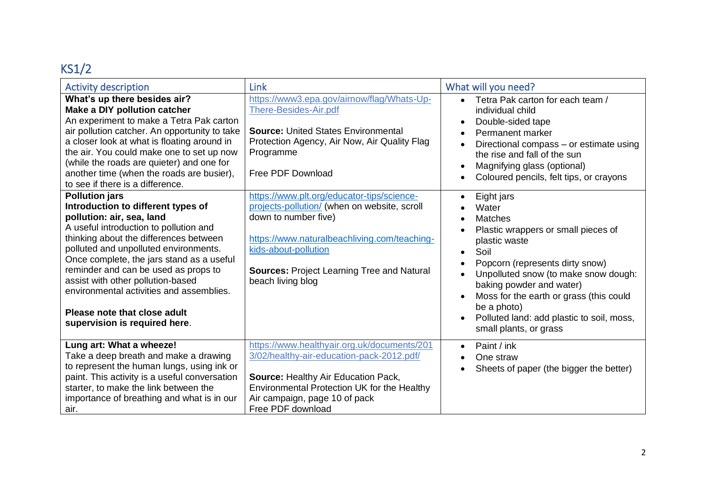## KS1/2

| <b>Activity description</b>                                                                                                                                                                                                                                                                                                                                                                                                                                  | <b>Link</b>                                                                                                                                                                                                                                                          | What will you need?                                                                                                                                                                                                                                                                                                                                                     |
|--------------------------------------------------------------------------------------------------------------------------------------------------------------------------------------------------------------------------------------------------------------------------------------------------------------------------------------------------------------------------------------------------------------------------------------------------------------|----------------------------------------------------------------------------------------------------------------------------------------------------------------------------------------------------------------------------------------------------------------------|-------------------------------------------------------------------------------------------------------------------------------------------------------------------------------------------------------------------------------------------------------------------------------------------------------------------------------------------------------------------------|
| What's up there besides air?<br>Make a DIY pollution catcher<br>An experiment to make a Tetra Pak carton<br>air pollution catcher. An opportunity to take<br>a closer look at what is floating around in<br>the air. You could make one to set up now<br>(while the roads are quieter) and one for<br>another time (when the roads are busier),<br>to see if there is a difference.                                                                          | https://www3.epa.gov/airnow/flag/Whats-Up-<br>There-Besides-Air.pdf<br><b>Source: United States Environmental</b><br>Protection Agency, Air Now, Air Quality Flag<br>Programme<br>Free PDF Download                                                                  | Tetra Pak carton for each team /<br>individual child<br>Double-sided tape<br>Permanent marker<br>$\bullet$<br>Directional compass - or estimate using<br>the rise and fall of the sun<br>Magnifying glass (optional)<br>Coloured pencils, felt tips, or crayons<br>$\bullet$                                                                                            |
| <b>Pollution jars</b><br>Introduction to different types of<br>pollution: air, sea, land<br>A useful introduction to pollution and<br>thinking about the differences between<br>polluted and unpolluted environments.<br>Once complete, the jars stand as a useful<br>reminder and can be used as props to<br>assist with other pollution-based<br>environmental activities and assemblies.<br>Please note that close adult<br>supervision is required here. | https://www.plt.org/educator-tips/science-<br>projects-pollution/ (when on website, scroll<br>down to number five)<br>https://www.naturalbeachliving.com/teaching-<br>kids-about-pollution<br><b>Sources: Project Learning Tree and Natural</b><br>beach living blog | Eight jars<br>$\bullet$<br>Water<br><b>Matches</b><br>Plastic wrappers or small pieces of<br>plastic waste<br>Soil<br>$\bullet$<br>Popcorn (represents dirty snow)<br>Unpolluted snow (to make snow dough:<br>baking powder and water)<br>Moss for the earth or grass (this could<br>be a photo)<br>Polluted land: add plastic to soil, moss,<br>small plants, or grass |
| Lung art: What a wheeze!<br>Take a deep breath and make a drawing<br>to represent the human lungs, using ink or<br>paint. This activity is a useful conversation<br>starter, to make the link between the<br>importance of breathing and what is in our<br>air.                                                                                                                                                                                              | https://www.healthyair.org.uk/documents/201<br>3/02/healthy-air-education-pack-2012.pdf/<br>Source: Healthy Air Education Pack,<br>Environmental Protection UK for the Healthy<br>Air campaign, page 10 of pack<br>Free PDF download                                 | Paint / ink<br>$\bullet$<br>One straw<br>Sheets of paper (the bigger the better)                                                                                                                                                                                                                                                                                        |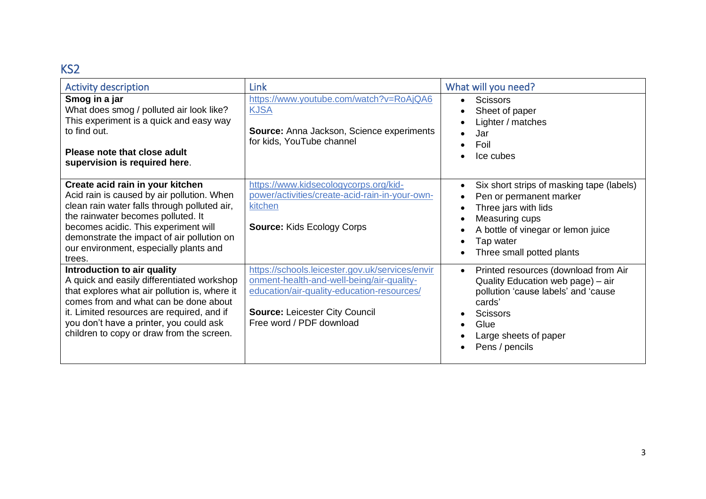#### KS2

| <b>Activity description</b>                                                                                                                                                                                                                                                                                    | <b>Link</b>                                                                                                                                                                                                     | What will you need?                                                                                                                                                                                                                                |
|----------------------------------------------------------------------------------------------------------------------------------------------------------------------------------------------------------------------------------------------------------------------------------------------------------------|-----------------------------------------------------------------------------------------------------------------------------------------------------------------------------------------------------------------|----------------------------------------------------------------------------------------------------------------------------------------------------------------------------------------------------------------------------------------------------|
| Smog in a jar<br>What does smog / polluted air look like?<br>This experiment is a quick and easy way<br>to find out.<br>Please note that close adult<br>supervision is required here.                                                                                                                          | https://www.youtube.com/watch?v=RoAjQA6<br><b>KJSA</b><br>Source: Anna Jackson, Science experiments<br>for kids, YouTube channel                                                                                | <b>Scissors</b><br>$\bullet$<br>Sheet of paper<br>Lighter / matches<br>Jar<br>Foil<br>Ice cubes                                                                                                                                                    |
| Create acid rain in your kitchen<br>Acid rain is caused by air pollution. When<br>clean rain water falls through polluted air,<br>the rainwater becomes polluted. It<br>becomes acidic. This experiment will<br>demonstrate the impact of air pollution on<br>our environment, especially plants and<br>trees. | https://www.kidsecologycorps.org/kid-<br>power/activities/create-acid-rain-in-your-own-<br>kitchen<br><b>Source: Kids Ecology Corps</b>                                                                         | Six short strips of masking tape (labels)<br>$\bullet$<br>Pen or permanent marker<br>Three jars with lids<br>$\bullet$<br>Measuring cups<br>$\bullet$<br>A bottle of vinegar or lemon juice<br>$\bullet$<br>Tap water<br>Three small potted plants |
| Introduction to air quality<br>A quick and easily differentiated workshop<br>that explores what air pollution is, where it<br>comes from and what can be done about<br>it. Limited resources are required, and if<br>you don't have a printer, you could ask<br>children to copy or draw from the screen.      | https://schools.leicester.gov.uk/services/envir<br>onment-health-and-well-being/air-quality-<br>education/air-quality-education-resources/<br><b>Source: Leicester City Council</b><br>Free word / PDF download | Printed resources (download from Air<br>$\bullet$<br>Quality Education web page) - air<br>pollution 'cause labels' and 'cause<br>cards'<br><b>Scissors</b><br>Glue<br>Large sheets of paper<br>Pens / pencils                                      |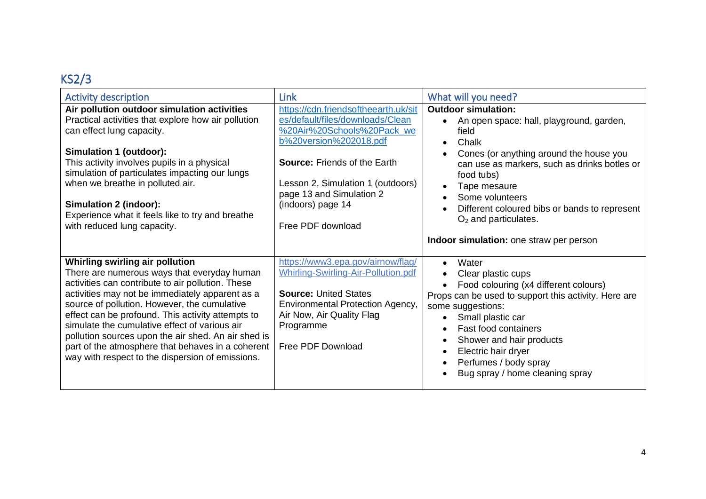### KS2/3

| <b>Activity description</b>                                                                                                                                                                                                                                                                                                                                                                                                                                                                                  | Link                                                                                                                                                                                                                                                                               | What will you need?                                                                                                                                                                                                                                                                                                                                                                  |
|--------------------------------------------------------------------------------------------------------------------------------------------------------------------------------------------------------------------------------------------------------------------------------------------------------------------------------------------------------------------------------------------------------------------------------------------------------------------------------------------------------------|------------------------------------------------------------------------------------------------------------------------------------------------------------------------------------------------------------------------------------------------------------------------------------|--------------------------------------------------------------------------------------------------------------------------------------------------------------------------------------------------------------------------------------------------------------------------------------------------------------------------------------------------------------------------------------|
| Air pollution outdoor simulation activities<br>Practical activities that explore how air pollution<br>can effect lung capacity.<br>Simulation 1 (outdoor):<br>This activity involves pupils in a physical<br>simulation of particulates impacting our lungs<br>when we breathe in polluted air.<br>Simulation 2 (indoor):<br>Experience what it feels like to try and breathe<br>with reduced lung capacity.                                                                                                 | https://cdn.friendsoftheearth.uk/sit<br>es/default/files/downloads/Clean<br>%20Air%20Schools%20Pack_we<br>b%20version%202018.pdf<br><b>Source: Friends of the Earth</b><br>Lesson 2, Simulation 1 (outdoors)<br>page 13 and Simulation 2<br>(indoors) page 14<br>Free PDF download | <b>Outdoor simulation:</b><br>An open space: hall, playground, garden,<br>field<br>Chalk<br>$\bullet$<br>Cones (or anything around the house you<br>can use as markers, such as drinks botles or<br>food tubs)<br>Tape mesaure<br>$\bullet$<br>Some volunteers<br>Different coloured bibs or bands to represent<br>$O2$ and particulates.<br>Indoor simulation: one straw per person |
| Whirling swirling air pollution<br>There are numerous ways that everyday human<br>activities can contribute to air pollution. These<br>activities may not be immediately apparent as a<br>source of pollution. However, the cumulative<br>effect can be profound. This activity attempts to<br>simulate the cumulative effect of various air<br>pollution sources upon the air shed. An air shed is<br>part of the atmosphere that behaves in a coherent<br>way with respect to the dispersion of emissions. | https://www3.epa.gov/airnow/flag/<br><b>Whirling-Swirling-Air-Pollution.pdf</b><br><b>Source: United States</b><br><b>Environmental Protection Agency,</b><br>Air Now, Air Quality Flag<br>Programme<br>Free PDF Download                                                          | Water<br>$\bullet$<br>Clear plastic cups<br>Food colouring (x4 different colours)<br>Props can be used to support this activity. Here are<br>some suggestions:<br>Small plastic car<br><b>Fast food containers</b><br>Shower and hair products<br>Electric hair dryer<br>Perfumes / body spray<br>Bug spray / home cleaning spray                                                    |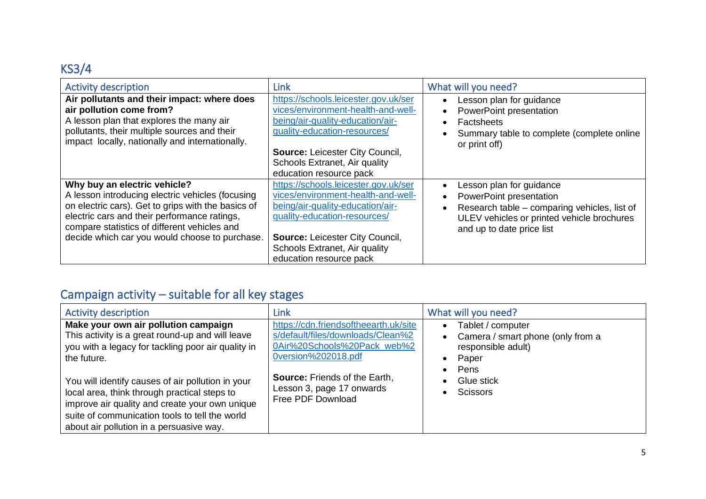### KS3/4

| <b>Activity description</b>                                                                                                                                                                                                                                                              | <b>Link</b>                                                                                                                                                                                                                                          | What will you need?                                                                                                                                                            |
|------------------------------------------------------------------------------------------------------------------------------------------------------------------------------------------------------------------------------------------------------------------------------------------|------------------------------------------------------------------------------------------------------------------------------------------------------------------------------------------------------------------------------------------------------|--------------------------------------------------------------------------------------------------------------------------------------------------------------------------------|
| Air pollutants and their impact: where does<br>air pollution come from?<br>A lesson plan that explores the many air<br>pollutants, their multiple sources and their<br>impact locally, nationally and internationally.                                                                   | https://schools.leicester.gov.uk/ser<br>vices/environment-health-and-well-<br>being/air-quality-education/air-<br>quality-education-resources/<br><b>Source: Leicester City Council,</b><br>Schools Extranet, Air quality<br>education resource pack | Lesson plan for guidance<br>PowerPoint presentation<br><b>Factsheets</b><br>Summary table to complete (complete online<br>or print off)                                        |
| Why buy an electric vehicle?<br>A lesson introducing electric vehicles (focusing<br>on electric cars). Get to grips with the basics of<br>electric cars and their performance ratings,<br>compare statistics of different vehicles and<br>decide which car you would choose to purchase. | https://schools.leicester.gov.uk/ser<br>vices/environment-health-and-well-<br>being/air-quality-education/air-<br>quality-education-resources/<br><b>Source: Leicester City Council,</b><br>Schools Extranet, Air quality<br>education resource pack | Lesson plan for guidance<br>PowerPoint presentation<br>Research table – comparing vehicles, list of<br>ULEV vehicles or printed vehicle brochures<br>and up to date price list |

### Campaign activity – suitable for all key stages

| <b>Activity description</b>                                                                                                                                                                                                                       | <b>Link</b>                                                                                                                      | What will you need?                                                                                        |
|---------------------------------------------------------------------------------------------------------------------------------------------------------------------------------------------------------------------------------------------------|----------------------------------------------------------------------------------------------------------------------------------|------------------------------------------------------------------------------------------------------------|
| Make your own air pollution campaign<br>This activity is a great round-up and will leave<br>you with a legacy for tackling poor air quality in<br>the future.                                                                                     | https://cdn.friendsoftheearth.uk/site<br>s/default/files/downloads/Clean%2<br>0Air%20Schools%20Pack_web%2<br>0version%202018.pdf | Tablet / computer<br>$\bullet$<br>Camera / smart phone (only from a<br>responsible adult)<br>Paper<br>Pens |
| You will identify causes of air pollution in your<br>local area, think through practical steps to<br>improve air quality and create your own unique<br>suite of communication tools to tell the world<br>about air pollution in a persuasive way. | <b>Source: Friends of the Earth,</b><br>Lesson 3, page 17 onwards<br>Free PDF Download                                           | Glue stick<br><b>Scissors</b>                                                                              |